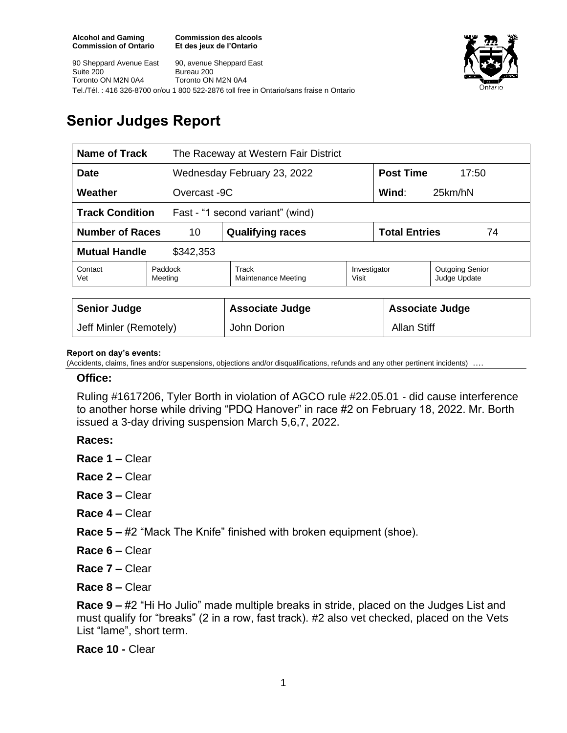**Commission des alcools Et des jeux de l'Ontario**





# **Senior Judges Report**

| Name of Track                                              |                    | The Raceway at Western Fair District |                       |                            |                                        |
|------------------------------------------------------------|--------------------|--------------------------------------|-----------------------|----------------------------|----------------------------------------|
| <b>Date</b>                                                |                    | Wednesday February 23, 2022          |                       | <b>Post Time</b><br>17:50  |                                        |
| Weather<br>Overcast -9C                                    |                    |                                      |                       | Wind:<br>25km/hN           |                                        |
| <b>Track Condition</b><br>Fast - "1 second variant" (wind) |                    |                                      |                       |                            |                                        |
| <b>Number of Races</b><br>10                               |                    | <b>Qualifying races</b>              |                       | <b>Total Entries</b><br>74 |                                        |
| <b>Mutual Handle</b><br>\$342,353                          |                    |                                      |                       |                            |                                        |
| Contact<br>Vet                                             | Paddock<br>Meeting | Track<br>Maintenance Meeting         | Investigator<br>Visit |                            | <b>Outgoing Senior</b><br>Judge Update |
|                                                            |                    |                                      |                       |                            |                                        |
| <b>Senior Judge</b>                                        |                    | <b>Associate Judge</b>               |                       | <b>Associate Judge</b>     |                                        |
| Jeff Minler (Remotely)                                     |                    | John Dorion                          |                       | <b>Allan Stiff</b>         |                                        |

#### **Report on day's events:**

(Accidents, claims, fines and/or suspensions, objections and/or disqualifications, refunds and any other pertinent incidents)

#### **Office:**

Ruling #1617206, Tyler Borth in violation of AGCO rule #22.05.01 - did cause interference to another horse while driving "PDQ Hanover" in race #2 on February 18, 2022. Mr. Borth issued a 3-day driving suspension March 5,6,7, 2022.

### **Races:**

- **Race 1 –** Clear
- **Race 2 –** Clear
- **Race 3 –** Clear
- **Race 4 –** Clear

**Race 5 –** #2 "Mack The Knife" finished with broken equipment (shoe).

- **Race 6 –** Clear
- **Race 7 –** Clear

**Race 8 –** Clear

**Race 9 –** #2 "Hi Ho Julio" made multiple breaks in stride, placed on the Judges List and must qualify for "breaks" (2 in a row, fast track). #2 also vet checked, placed on the Vets List "lame", short term.

**Race 10 -** Clear